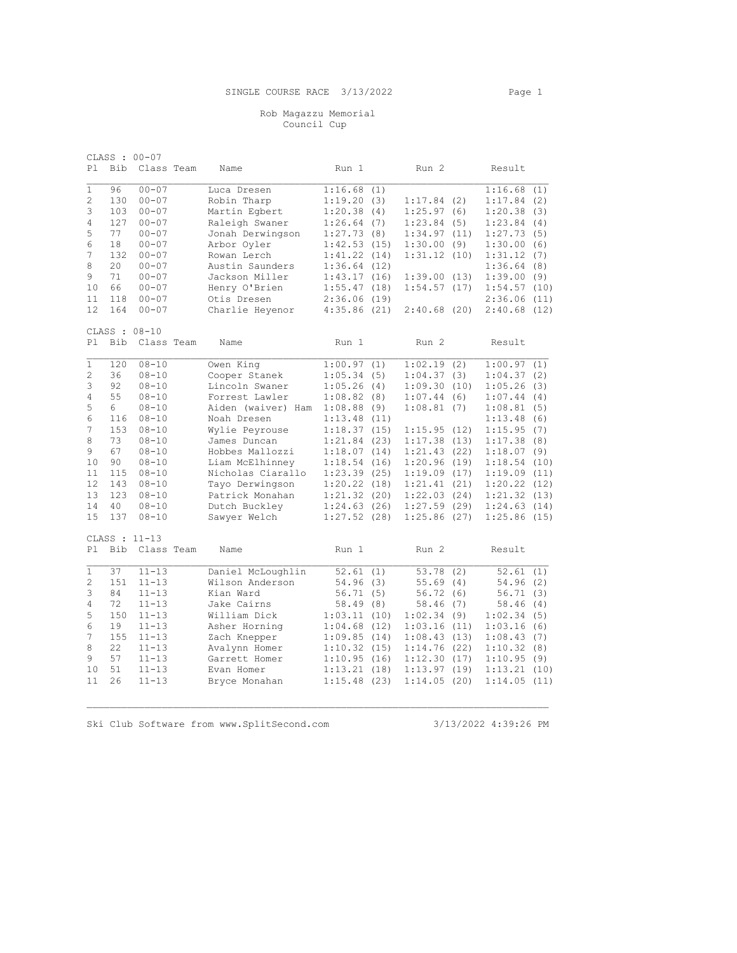## Rob Magazzu Memorial Council Cup

| P1             | Bib | CLASS : 00-07<br>Class Team |  | Name               | Run 1       |      | Run 2            |     | Result      |      |
|----------------|-----|-----------------------------|--|--------------------|-------------|------|------------------|-----|-------------|------|
| $\mathbf{1}$   | 96  | $00 - 07$                   |  | Luca Dresen        | 1:16.68     | (1)  |                  |     | 1:16.68     | (1)  |
| 2              | 130 | $00 - 07$                   |  | Robin Tharp        | 1:19.20(3)  |      | 1:17.84(2)       |     | 1:17.84(2)  |      |
| 3              | 103 | $00 - 07$                   |  | Martin Egbert      | 1:20.38     | (4)  | 1:25.97(6)       |     | 1:20.38     | (3)  |
| 4              | 127 | $00 - 07$                   |  | Raleigh Swaner     | 1:26.64(7)  |      | 1:23.84(5)       |     | 1:23.84(4)  |      |
| 5              | 77  | $00 - 07$                   |  | Jonah Derwingson   | 1:27.73     | (8)  | 1:34.97(11)      |     | 1:27.73     | (5)  |
| 6              | 18  | $00 - 07$                   |  | Arbor Oyler        | 1:42.53(15) |      | 1:30.00(9)       |     | 1:30.00(6)  |      |
| 7              | 132 | $00 - 07$                   |  | Rowan Lerch        | 1:41.22     | (14) | 1:31.12(10)      |     | 1:31.12     | (7)  |
| 8              | 20  | $00 - 07$                   |  | Austin Saunders    | 1:36.64     | (12) |                  |     | 1:36.64(8)  |      |
| 9              | 71  | $00 - 07$                   |  | Jackson Miller     | 1:43.17     | (16) | 1:39.00(13)      |     | 1:39.00(9)  |      |
| 10             | 66  | $00 - 07$                   |  | Henry O'Brien      | 1:55.47     | (18) | 1:54.57(17)      |     | 1:54.57(10) |      |
| 11             | 118 | $00 - 07$                   |  | Otis Dresen        | 2:36.06(19) |      |                  |     | 2:36.06(11) |      |
| 12             | 164 | $00 - 07$                   |  | Charlie Heyenor    | 4:35.86(21) |      | 2:40.68(20)      |     | 2:40.68(12) |      |
|                |     |                             |  |                    |             |      |                  |     |             |      |
|                |     | CLASS : 08-10               |  |                    |             |      |                  |     |             |      |
| P1             | Bib | Class Team                  |  | Name               | Run 1       |      | Run 2            |     | Result      |      |
| $\mathbf{1}$   | 120 | $08 - 10$                   |  | Owen King          | 1:00.97     | (1)  | 1:02.19(2)       |     | 1:00.97     | (1)  |
| 2              | 36  | $08 - 10$                   |  | Cooper Stanek      | 1:05.34     | (5)  | 1:04.37(3)       |     | 1:04.37(2)  |      |
| 3              | 92  | $08 - 10$                   |  | Lincoln Swaner     | 1:05.26     | (4)  | 1:09.30(10)      |     | 1:05.26     | (3)  |
| 4              | 55  | $08 - 10$                   |  | Forrest Lawler     | 1:08.82     | (8)  | 1:07.44          | (6) | 1:07.44     | (4)  |
| 5              | 6   | $08 - 10$                   |  | Aiden (waiver) Ham | 1:08.88     | (9)  | 1:08.81          | (7) | 1:08.81     | (5)  |
| 6              | 116 | $08 - 10$                   |  | Noah Dresen        | 1:13.48     | (11) |                  |     | 1:13.48     | (6)  |
| 7              | 153 | $08 - 10$                   |  | Wylie Peyrouse     | 1:18.37     | (15) | 1:15.95(12)      |     | 1:15.95     | (7)  |
| 8              | 73  | $08 - 10$                   |  | James Duncan       | 1:21.84     | (23) | 1:17.38(13)      |     | 1:17.38     | (8)  |
| 9              | 67  | $08 - 10$                   |  | Hobbes Mallozzi    | 1:18.07     | (14) | 1:21.43(22)      |     | 1:18.07(9)  |      |
| 10             | 90  | $08 - 10$                   |  | Liam McElhinney    | 1:18.54     | (16) | 1:20.96(19)      |     | 1:18.54     | (10) |
| 11             | 115 | $08 - 10$                   |  | Nicholas Ciarallo  | 1:23.39     | (25) | 1:19.09(17)      |     | 1:19.09(11) |      |
| 12             | 143 | $08 - 10$                   |  | Tayo Derwingson    | 1:20.22(18) |      | 1:21.41(21)      |     | 1:20.22     | (12) |
| 13             | 123 | $08 - 10$                   |  | Patrick Monahan    | 1:21.32(20) |      | 1:22.03(24)      |     | 1:21.32(13) |      |
| 14             | 40  | $08 - 10$                   |  | Dutch Buckley      | 1:24.63(26) |      | 1:27.59(29)      |     | 1:24.63(14) |      |
| 15             | 137 | $08 - 10$                   |  | Sawyer Welch       | 1:27.52(28) |      | 1:25.86(27)      |     | 1:25.86(15) |      |
| CLASS : 11-13  |     |                             |  |                    |             |      |                  |     |             |      |
| P1             | Bib | Class Team                  |  | Name               | Run 1       |      | Run <sub>2</sub> |     | Result      |      |
| $\mathbf{1}$   | 37  | $11 - 13$                   |  | Daniel McLoughlin  | 52.61       | (1)  | 53.78            | (2) | 52.61       | (1)  |
| $\overline{c}$ | 151 | $11 - 13$                   |  | Wilson Anderson    | 54.96       | (3)  | 55.69(4)         |     | 54.96(2)    |      |
| 3              | 84  | $11 - 13$                   |  | Kian Ward          | 56.71       | (5)  | 56.72(6)         |     | 56.71       | (3)  |
| 4              | 72  | $11 - 13$                   |  | Jake Cairns        | 58.49       | (8)  | 58.46(7)         |     | 58.46(4)    |      |
| 5              | 150 | $11 - 13$                   |  | William Dick       | 1:03.11     | (10) | 1:02.34(9)       |     | 1:02.34(5)  |      |
| 6              | 19  | $11 - 13$                   |  | Asher Horning      | 1:04.68     | (12) | 1:03.16(11)      |     | 1:03.16(6)  |      |
| 7              | 155 | $11 - 13$                   |  | Zach Knepper       | 1:09.85     | (14) | 1:08.43(13)      |     | 1:08.43(7)  |      |
| 8              | 22  | $11 - 13$                   |  | Avalynn Homer      | 1:10.32(15) |      | 1:14.76(22)      |     | 1:10.32(8)  |      |
| 9              | 57  | $11 - 13$                   |  | Garrett Homer      | 1:10.95     | (16) | 1:12.30(17)      |     | 1:10.95(9)  |      |
| 10             | 51  | $11 - 13$                   |  | Evan Homer         | 1:13.21     | (18) | 1:13.97(19)      |     | 1:13.21(10) |      |
| 11             | 26  | $11 - 13$                   |  | Bryce Monahan      | 1:15.48     | (23) | 1:14.05(20)      |     | 1:14.05(11) |      |

Ski Club Software from www.SplitSecond.com 3/13/2022 4:39:26 PM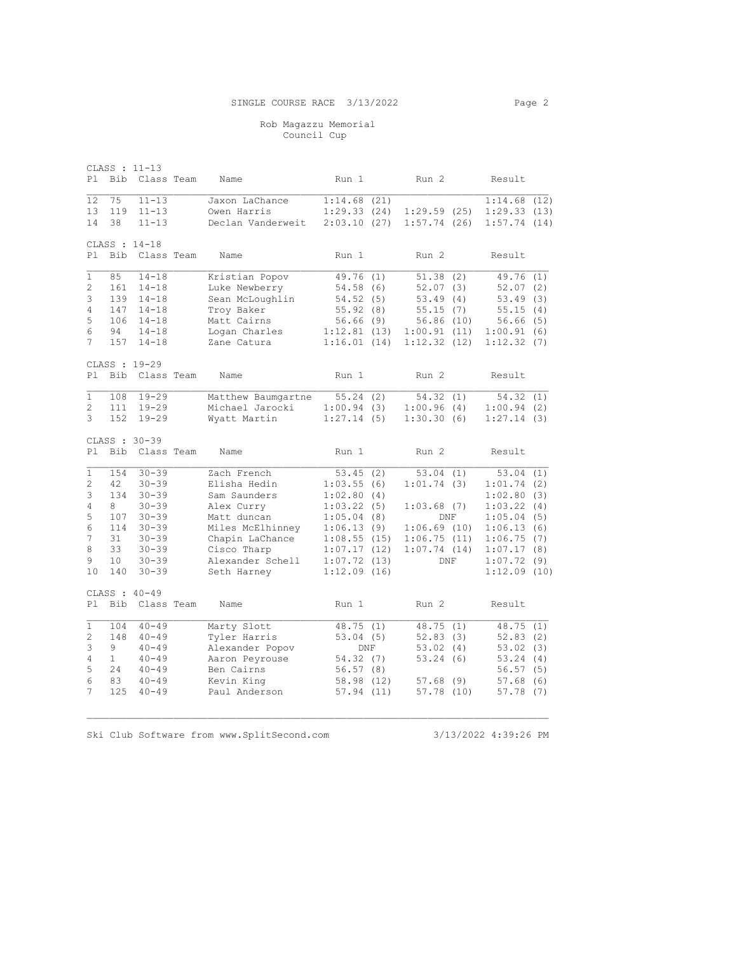## Rob Magazzu Memorial Council Cup

CLASS : 11-13 Pl Bib Class Team Name Run 1 Run 2 Result 12 75 11-13 Jaxon LaChance 1:14.68 (21) 1:14.68 (12) 13 119 11-13 Owen Harris 1:29.33 (24) 1:29.59 (25) 1:29.33 (13) 14 38 11-13 Declan Vanderweit 2:03.10 (27) 1:57.74 (26) 1:57.74 (14) CLASS : 14-18 Pl Bib Class Team Name Run 1 Run 2 Result 1 85 14-18 Kristian Popov 49.76 (1) 51.38 (2) 49.76 (1) 2 161 14-18 Luke Newberry 54.58 (6) 52.07 (3) 52.07 (2) 3 139 14-18 Sean McLoughlin 54.52 (5) 53.49 (4) 53.49 (3) 4 147 14-18 Troy Baker 55.92 (8) 55.15 (7) 55.15 (4) 5 106 14-18 Matt Cairns 56.66 (9) 56.86 (10) 56.66 (5) 6 94 14-18 Logan Charles 1:12.81 (13) 1:00.91 (11) 1:00.91 (6) 7 157 14-18 Zane Catura 1:16.01 (14) 1:12.32 (12) 1:12.32 (7) CLASS : 19-29 Pl Bib Class Team Name Run 1 Run 2 Result 1 108 19-29 Matthew Baumgartne 55.24 (2) 54.32 (1) 54.32 (1) 2 111 19-29 Michael Jarocki 1:00.94 (3) 1:00.96 (4) 1:00.94 (2) 3 152 19-29 Wyatt Martin 1:27.14 (5) 1:30.30 (6) 1:27.14 (3) CLASS : 30-39 Pl Bib Class Team Name Run 1 Run 2 Result 1 154 30-39 Zach French 53.45 (2) 53.04 (1) 53.04 (1) 2 42 30-39 Elisha Hedin 1:03.55 (6) 1:01.74 (3) 1:01.74 (2) 3 134 30-39 Sam Saunders 1:02.80 (4) 1:02.80 (3) 4 8 30-39 Alex Curry 1:03.22 (5) 1:03.68 (7) 1:03.22 (4) 5 107 30-39 Matt duncan 1:05.04 (8) DNF 1:05.04 (5) 6 114 30-39 Miles McElhinney 1:06.13 (9) 1:06.69 (10) 1:06.13 (6) 7 31 30-39 Chapin LaChance 1:08.55 (15) 1:06.75 (11) 1:06.75 (7) 8 33 30-39 Cisco Tharp 1:07.17 (12) 1:07.74 (14) 1:07.17 (8) 9 10 30-39 Alexander Schell 1:07.72 (13) DNF 1:07.72 (9) 10 140 30-39 Seth Harney 1:12.09 (16) 1:12.09 (10) CLASS : 40-49 Pl Bib Class Team Name Run 1 Run 2 Result 1 104 40-49 Marty Slott 48.75 (1) 48.75 (1) 48.75 (1) 2 148 40-49 Tyler Harris 53.04 (5) 52.83 (3) 52.83 (2) 3 9 40-49 Alexander Popov DNF 53.02 (4) 53.02 (3) 4 1 40-49 Aaron Peyrouse 54.32 (7) 53.24 (6) 53.24 (4) 5 24 40-49 Ben Cairns 56.57 (8) 56.57 (5) 6 83 40-49 Kevin King 58.98 (12) 57.68 (9) 57.68 (6) 7 125 40-49 Paul Anderson 57.94 (11) 57.78 (10) 57.78 (7)

Ski Club Software from www.SplitSecond.com 3/13/2022 4:39:26 PM